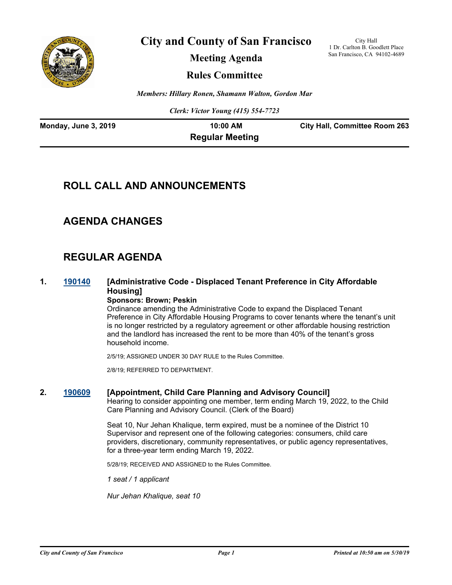

**City and County of San Francisco**

City Hall 1 Dr. Carlton B. Goodlett Place San Francisco, CA 94102-4689

**Meeting Agenda**

**Rules Committee**

*Members: Hillary Ronen, Shamann Walton, Gordon Mar*

*Clerk: Victor Young (415) 554-7723*

| Monday, June 3, 2019 | $10:00$ AM             | <b>City Hall, Committee Room 263</b> |
|----------------------|------------------------|--------------------------------------|
|                      | <b>Regular Meeting</b> |                                      |

# **ROLL CALL AND ANNOUNCEMENTS**

# **AGENDA CHANGES**

# **REGULAR AGENDA**

#### **1. [190140](http://sfgov.legistar.com/gateway.aspx?m=l&id=34261) [Administrative Code - Displaced Tenant Preference in City Affordable Housing] Sponsors: Brown; Peskin**

#### Ordinance amending the Administrative Code to expand the Displaced Tenant Preference in City Affordable Housing Programs to cover tenants where the tenant's unit is no longer restricted by a regulatory agreement or other affordable housing restriction and the landlord has increased the rent to be more than 40% of the tenant's gross household income.

2/5/19; ASSIGNED UNDER 30 DAY RULE to the Rules Committee.

2/8/19; REFERRED TO DEPARTMENT.

### **2. [190609](http://sfgov.legistar.com/gateway.aspx?m=l&id=34731) [Appointment, Child Care Planning and Advisory Council]**

Hearing to consider appointing one member, term ending March 19, 2022, to the Child Care Planning and Advisory Council. (Clerk of the Board)

Seat 10, Nur Jehan Khalique, term expired, must be a nominee of the District 10 Supervisor and represent one of the following categories: consumers, child care providers, discretionary, community representatives, or public agency representatives, for a three-year term ending March 19, 2022.

5/28/19; RECEIVED AND ASSIGNED to the Rules Committee.

*1 seat / 1 applicant*

*Nur Jehan Khalique, seat 10*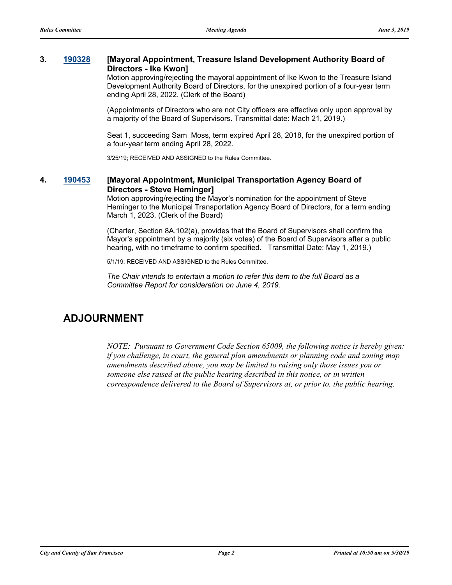#### **3. [190328](http://sfgov.legistar.com/gateway.aspx?m=l&id=34449) [Mayoral Appointment, Treasure Island Development Authority Board of Directors - Ike Kwon]**

Motion approving/rejecting the mayoral appointment of Ike Kwon to the Treasure Island Development Authority Board of Directors, for the unexpired portion of a four-year term ending April 28, 2022. (Clerk of the Board)

(Appointments of Directors who are not City officers are effective only upon approval by a majority of the Board of Supervisors. Transmittal date: Mach 21, 2019.)

Seat 1, succeeding Sam Moss, term expired April 28, 2018, for the unexpired portion of a four-year term ending April 28, 2022.

3/25/19; RECEIVED AND ASSIGNED to the Rules Committee.

#### **4. [190453](http://sfgov.legistar.com/gateway.aspx?m=l&id=34578) [Mayoral Appointment, Municipal Transportation Agency Board of Directors - Steve Heminger]**

Motion approving/rejecting the Mayor's nomination for the appointment of Steve Heminger to the Municipal Transportation Agency Board of Directors, for a term ending March 1, 2023. (Clerk of the Board)

(Charter, Section 8A.102(a), provides that the Board of Supervisors shall confirm the Mayor's appointment by a majority (six votes) of the Board of Supervisors after a public hearing, with no timeframe to confirm specified. Transmittal Date: May 1, 2019.)

5/1/19; RECEIVED AND ASSIGNED to the Rules Committee.

*The Chair intends to entertain a motion to refer this item to the full Board as a Committee Report for consideration on June 4, 2019.*

## **ADJOURNMENT**

*NOTE: Pursuant to Government Code Section 65009, the following notice is hereby given: if you challenge, in court, the general plan amendments or planning code and zoning map amendments described above, you may be limited to raising only those issues you or someone else raised at the public hearing described in this notice, or in written correspondence delivered to the Board of Supervisors at, or prior to, the public hearing.*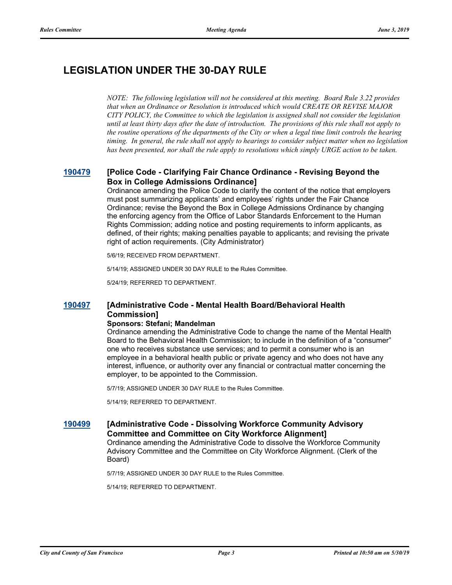# **LEGISLATION UNDER THE 30-DAY RULE**

*NOTE: The following legislation will not be considered at this meeting. Board Rule 3.22 provides that when an Ordinance or Resolution is introduced which would CREATE OR REVISE MAJOR CITY POLICY, the Committee to which the legislation is assigned shall not consider the legislation until at least thirty days after the date of introduction. The provisions of this rule shall not apply to the routine operations of the departments of the City or when a legal time limit controls the hearing timing. In general, the rule shall not apply to hearings to consider subject matter when no legislation has been presented, nor shall the rule apply to resolutions which simply URGE action to be taken.*

### **[190479](http://sfgov.legistar.com/gateway.aspx?m=l&id=34601) [Police Code - Clarifying Fair Chance Ordinance - Revising Beyond the Box in College Admissions Ordinance]**

Ordinance amending the Police Code to clarify the content of the notice that employers must post summarizing applicants' and employees' rights under the Fair Chance Ordinance; revise the Beyond the Box in College Admissions Ordinance by changing the enforcing agency from the Office of Labor Standards Enforcement to the Human Rights Commission; adding notice and posting requirements to inform applicants, as defined, of their rights; making penalties payable to applicants; and revising the private right of action requirements. (City Administrator)

5/6/19; RECEIVED FROM DEPARTMENT.

5/14/19; ASSIGNED UNDER 30 DAY RULE to the Rules Committee.

5/24/19; REFERRED TO DEPARTMENT.

### **[190497](http://sfgov.legistar.com/gateway.aspx?m=l&id=34619) [Administrative Code - Mental Health Board/Behavioral Health Commission]**

#### **Sponsors: Stefani; Mandelman**

Ordinance amending the Administrative Code to change the name of the Mental Health Board to the Behavioral Health Commission; to include in the definition of a "consumer" one who receives substance use services; and to permit a consumer who is an employee in a behavioral health public or private agency and who does not have any interest, influence, or authority over any financial or contractual matter concerning the employer, to be appointed to the Commission.

5/7/19; ASSIGNED UNDER 30 DAY RULE to the Rules Committee.

5/14/19; REFERRED TO DEPARTMENT.

#### **[190499](http://sfgov.legistar.com/gateway.aspx?m=l&id=34621) [Administrative Code - Dissolving Workforce Community Advisory Committee and Committee on City Workforce Alignment]**

Ordinance amending the Administrative Code to dissolve the Workforce Community Advisory Committee and the Committee on City Workforce Alignment. (Clerk of the Board)

5/7/19; ASSIGNED UNDER 30 DAY RULE to the Rules Committee.

5/14/19; REFERRED TO DEPARTMENT.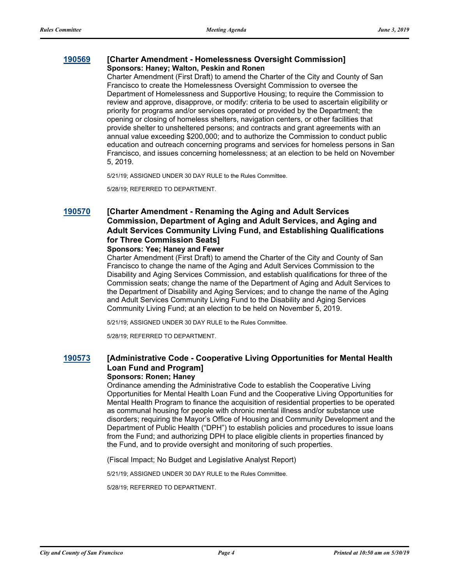#### **[190569](http://sfgov.legistar.com/gateway.aspx?m=l&id=34691) [Charter Amendment - Homelessness Oversight Commission] Sponsors: Haney; Walton, Peskin and Ronen**

Charter Amendment (First Draft) to amend the Charter of the City and County of San Francisco to create the Homelessness Oversight Commission to oversee the Department of Homelessness and Supportive Housing; to require the Commission to review and approve, disapprove, or modify: criteria to be used to ascertain eligibility or priority for programs and/or services operated or provided by the Department; the opening or closing of homeless shelters, navigation centers, or other facilities that provide shelter to unsheltered persons; and contracts and grant agreements with an annual value exceeding \$200,000; and to authorize the Commission to conduct public education and outreach concerning programs and services for homeless persons in San Francisco, and issues concerning homelessness; at an election to be held on November 5, 2019.

5/21/19; ASSIGNED UNDER 30 DAY RULE to the Rules Committee.

5/28/19; REFERRED TO DEPARTMENT.

### **[190570](http://sfgov.legistar.com/gateway.aspx?m=l&id=34692) [Charter Amendment - Renaming the Aging and Adult Services Commission, Department of Aging and Adult Services, and Aging and Adult Services Community Living Fund, and Establishing Qualifications for Three Commission Seats]**

#### **Sponsors: Yee; Haney and Fewer**

Charter Amendment (First Draft) to amend the Charter of the City and County of San Francisco to change the name of the Aging and Adult Services Commission to the Disability and Aging Services Commission, and establish qualifications for three of the Commission seats; change the name of the Department of Aging and Adult Services to the Department of Disability and Aging Services; and to change the name of the Aging and Adult Services Community Living Fund to the Disability and Aging Services Community Living Fund; at an election to be held on November 5, 2019.

5/21/19; ASSIGNED UNDER 30 DAY RULE to the Rules Committee.

5/28/19; REFERRED TO DEPARTMENT.

### **[190573](http://sfgov.legistar.com/gateway.aspx?m=l&id=34695) [Administrative Code - Cooperative Living Opportunities for Mental Health Loan Fund and Program]**

#### **Sponsors: Ronen; Haney**

Ordinance amending the Administrative Code to establish the Cooperative Living Opportunities for Mental Health Loan Fund and the Cooperative Living Opportunities for Mental Health Program to finance the acquisition of residential properties to be operated as communal housing for people with chronic mental illness and/or substance use disorders; requiring the Mayor's Office of Housing and Community Development and the Department of Public Health ("DPH") to establish policies and procedures to issue loans from the Fund; and authorizing DPH to place eligible clients in properties financed by the Fund, and to provide oversight and monitoring of such properties.

(Fiscal Impact; No Budget and Legislative Analyst Report)

5/21/19; ASSIGNED UNDER 30 DAY RULE to the Rules Committee.

5/28/19; REFERRED TO DEPARTMENT.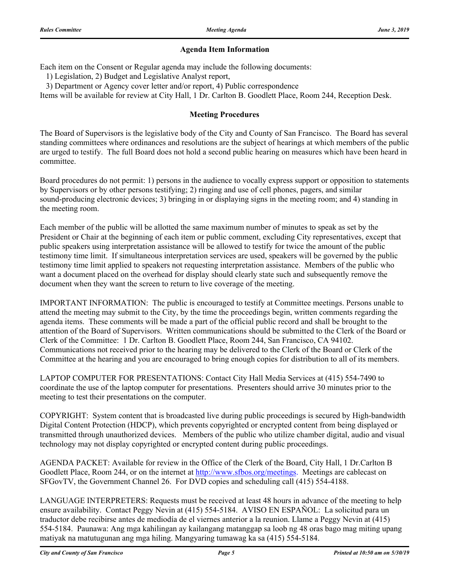#### **Agenda Item Information**

Each item on the Consent or Regular agenda may include the following documents:

1) Legislation, 2) Budget and Legislative Analyst report,

3) Department or Agency cover letter and/or report, 4) Public correspondence

Items will be available for review at City Hall, 1 Dr. Carlton B. Goodlett Place, Room 244, Reception Desk.

#### **Meeting Procedures**

The Board of Supervisors is the legislative body of the City and County of San Francisco. The Board has several standing committees where ordinances and resolutions are the subject of hearings at which members of the public are urged to testify. The full Board does not hold a second public hearing on measures which have been heard in committee.

Board procedures do not permit: 1) persons in the audience to vocally express support or opposition to statements by Supervisors or by other persons testifying; 2) ringing and use of cell phones, pagers, and similar sound-producing electronic devices; 3) bringing in or displaying signs in the meeting room; and 4) standing in the meeting room.

Each member of the public will be allotted the same maximum number of minutes to speak as set by the President or Chair at the beginning of each item or public comment, excluding City representatives, except that public speakers using interpretation assistance will be allowed to testify for twice the amount of the public testimony time limit. If simultaneous interpretation services are used, speakers will be governed by the public testimony time limit applied to speakers not requesting interpretation assistance. Members of the public who want a document placed on the overhead for display should clearly state such and subsequently remove the document when they want the screen to return to live coverage of the meeting.

IMPORTANT INFORMATION: The public is encouraged to testify at Committee meetings. Persons unable to attend the meeting may submit to the City, by the time the proceedings begin, written comments regarding the agenda items. These comments will be made a part of the official public record and shall be brought to the attention of the Board of Supervisors. Written communications should be submitted to the Clerk of the Board or Clerk of the Committee: 1 Dr. Carlton B. Goodlett Place, Room 244, San Francisco, CA 94102. Communications not received prior to the hearing may be delivered to the Clerk of the Board or Clerk of the Committee at the hearing and you are encouraged to bring enough copies for distribution to all of its members.

LAPTOP COMPUTER FOR PRESENTATIONS: Contact City Hall Media Services at (415) 554-7490 to coordinate the use of the laptop computer for presentations. Presenters should arrive 30 minutes prior to the meeting to test their presentations on the computer.

COPYRIGHT: System content that is broadcasted live during public proceedings is secured by High-bandwidth Digital Content Protection (HDCP), which prevents copyrighted or encrypted content from being displayed or transmitted through unauthorized devices. Members of the public who utilize chamber digital, audio and visual technology may not display copyrighted or encrypted content during public proceedings.

AGENDA PACKET: Available for review in the Office of the Clerk of the Board, City Hall, 1 Dr.Carlton B Goodlett Place, Room 244, or on the internet at http://www.sfbos.org/meetings. Meetings are cablecast on SFGovTV, the Government Channel 26. For DVD copies and scheduling call (415) 554-4188.

LANGUAGE INTERPRETERS: Requests must be received at least 48 hours in advance of the meeting to help ensure availability. Contact Peggy Nevin at (415) 554-5184. AVISO EN ESPAÑOL: La solicitud para un traductor debe recibirse antes de mediodía de el viernes anterior a la reunion. Llame a Peggy Nevin at (415) 554-5184. Paunawa: Ang mga kahilingan ay kailangang matanggap sa loob ng 48 oras bago mag miting upang matiyak na matutugunan ang mga hiling. Mangyaring tumawag ka sa (415) 554-5184.